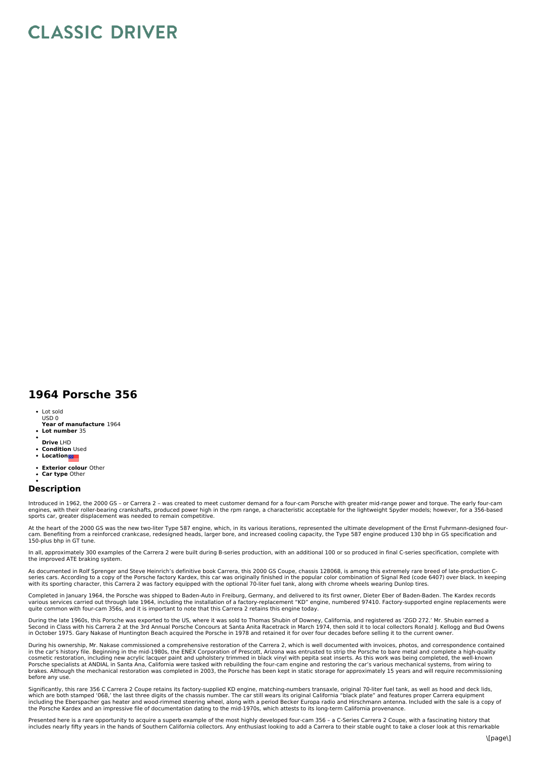## **CLASSIC DRIVER**

## **1964 Porsche 356**

- Lot sold USD 0
- **Year of manufacture** 1964
- **Lot number** 35
- **Drive** LHD
- **Condition** Used
- **Location**
- **Exterior colour** Other
- **Car type** Other

## **Description**

Introduced in 1962, the 2000 GS - or Carrera 2 - was created to meet customer demand for a four-cam Porsche with greater mid-range power and torque. The early four-cam<br>engines, with their roller-bearing crankshafts, produc sports car, greater displacement was needed to remain competitive.

At the heart of the 2000 GS was the new two-liter Type 587 engine, which, in its various iterations, represented the ultimate development of the Ernst Fuhrmann-designed fourcam. Benefiting from a reinforced crankcase, redesigned heads, larger bore, and increased cooling capacity, the Type 587 engine produced 130 bhp in GS specification and<br>150-plus bhp in GT tune.

In all, approximately 300 examples of the Carrera 2 were built during B-series production, with an additional 100 or so produced in final C-series specification, complete with the improved ATE braking system.

As documented in Rolf Sprenger and Steve Heinrich's definitive book Carrera, this 2000 GS Coupe, chassis 128068, is among this extremely rare breed of late-production C-<br>series cars. According to a copy of the Porsche fact with its sporting character, this Carrera 2 was factory equipped with the optional 70-liter fuel tank, along with chrome wheels wearing Dunlop tires.

Completed in January 1964, the Porsche was shipped to Baden-Auto in Freiburg, Germany, and delivered to its first owner, Dieter Eber of Baden-Baden. The Kardex records various services carried out through late 1964, including the installation of a factory-replacement "KD" engine, numbered 97410. Factory-supported engine replacements were<br>quite common with four-cam 356s, and it is importa

During the late 1960s, this Porsche was exported to the US, where it was sold to Thomas Shubin of Downey, California, and registered as 'ZGD 272.' Mr. Shubin earned a<br>Second in Class with his Carrera 2 at the 3rd Annual Po in October 1975. Gary Nakase of Huntington Beach acquired the Porsche in 1978 and retained it for over four decades before selling it to the current owner.

During his ownership, Mr. Nakase commissioned a comprehensive restoration of the Carrera 2, which is well documented with invoices, photos, and correspondence contained in the car's history file. Beginning in the mid-1980s, the ENEX Corporation of Prescott, Arizona was entrusted to strip the Porsche to bare metal and complete a high-quality cosmetic restoration, including new acrylic lacquer paint and upholstery trimmed in black vinyl with pepita seat inserts. As this work was being completed, the well-known<br>Porsche specialists at ANDIAL in Santa Ana, Califor before any use.

Significantly, this rare 356 C Carrera 2 Coupe retains its factory-supplied KD engine, matching-numbers transaxle, original 70-liter fuel tank, as well as hood and deck lids, which are both stamped '068,' the last three digits of the chassis number. The car still wears its original California "black plate" and features proper Carrera equipment<br>including the Eberspacher gas heater and wood-rimme the Porsche Kardex and an impressive file of documentation dating to the mid-1970s, which attests to its long-term California provenance.

Presented here is a rare opportunity to acquire a superb example of the most highly developed four-cam 356 - a C-Series Carrera 2 Coupe, with a fascinating history that includes nearly fifty years in the hands of Southern California collectors. Any enthusiast looking to add a Carrera to their stable ought to take a closer look at this remarkable